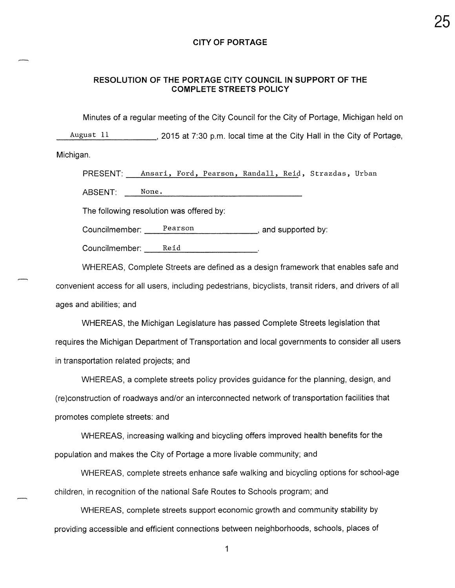#### **CITY OF PORTAGE**

#### RESOLUTION OF THE PORTAGE CITY COUNCIL IN SUPPORT OF THE **COMPLETE STREETS POLICY**

Minutes of a regular meeting of the City Council for the City of Portage, Michigan held on

August 11 \_\_\_\_\_\_\_\_\_\_\_\_, 2015 at 7:30 p.m. local time at the City Hall in the City of Portage,

Michigan.

PRESENT: Ansari, Ford, Pearson, Randall, Reid, Strazdas, Urban

ABSENT: None.

The following resolution was offered by:

Councilmember: Pearson entries and supported by:

Councilmember: Reid Relation Councilmember:

WHEREAS, Complete Streets are defined as a design framework that enables safe and convenient access for all users, including pedestrians, bicyclists, transit riders, and drivers of all ages and abilities; and

WHEREAS, the Michigan Legislature has passed Complete Streets legislation that requires the Michigan Department of Transportation and local governments to consider all users in transportation related projects; and

WHEREAS, a complete streets policy provides guidance for the planning, design, and (re)construction of roadways and/or an interconnected network of transportation facilities that promotes complete streets: and

WHEREAS, increasing walking and bicycling offers improved health benefits for the population and makes the City of Portage a more livable community; and

WHEREAS, complete streets enhance safe walking and bicycling options for school-age children, in recognition of the national Safe Routes to Schools program; and

WHEREAS, complete streets support economic growth and community stability by providing accessible and efficient connections between neighborhoods, schools, places of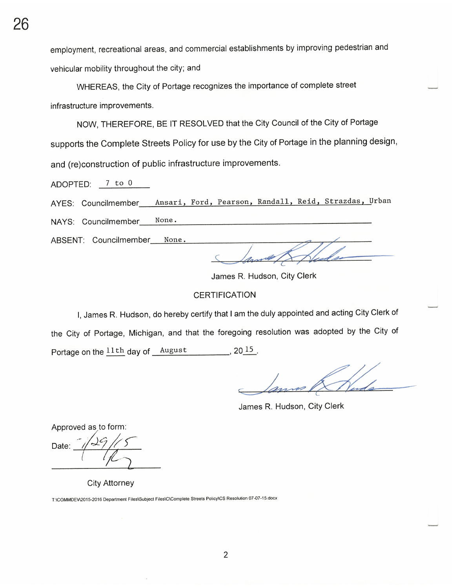employment, recreational areas, and commercial establishments by improving pedestrian and vehicular mobility throughout the city; and

WHEREAS, the City of Portage recognizes the importance of complete street infrastructure improvements.

NOW, THEREFORE, BE IT RESOLVED that the City Council of the City of Portage supports the Complete Streets Policy for use by the City of Portage in the planning design, and (re)construction of public infrastructure improvements.

ADOPTED: 7 to 0

AYES: Councilmember\_\_\_ Ansari, Ford, Pearson, Randall, Reid, Strazdas, Urban

None. NAYS: Councilmember

ABSENT: Councilmember\_\_\_ None.

James R. Hudson, City Clerk

#### **CERTIFICATION**

I, James R. Hudson, do hereby certify that I am the duly appointed and acting City Clerk of the City of Portage, Michigan, and that the foregoing resolution was adopted by the City of Portage on the  $11th$  day of  $\_\text{August}$  20 $\_\text{15}$ .

James R. Hudson, City Clerk

Approved as to form:

Date:

**City Attorney** 

T:\COMMDEV\2015-2016 Department Files\Subject Files\C\Complete Streets Policy\CS Resolution 07-07-15.docx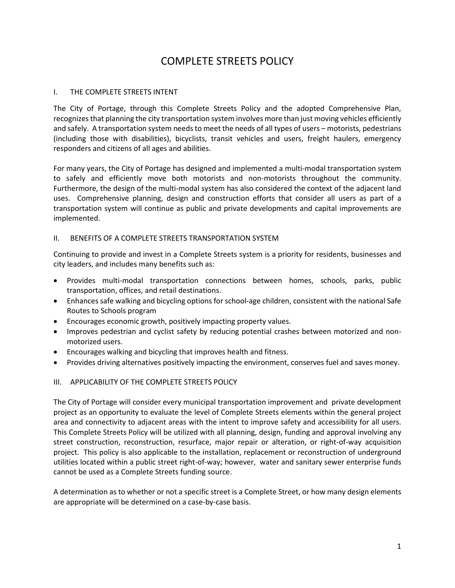# COMPLETE STREETS POLICY

### I. THE COMPLETE STREETS INTENT

The City of Portage, through this Complete Streets Policy and the adopted Comprehensive Plan, recognizes that planning the city transportation system involves more than just moving vehicles efficiently and safely. A transportation system needs to meet the needs of all types of users – motorists, pedestrians (including those with disabilities), bicyclists, transit vehicles and users, freight haulers, emergency responders and citizens of all ages and abilities.

For many years, the City of Portage has designed and implemented a multi-modal transportation system to safely and efficiently move both motorists and non-motorists throughout the community. Furthermore, the design of the multi-modal system has also considered the context of the adjacent land uses. Comprehensive planning, design and construction efforts that consider all users as part of a transportation system will continue as public and private developments and capital improvements are implemented.

# II. BENEFITS OF A COMPLETE STREETS TRANSPORTATION SYSTEM

Continuing to provide and invest in a Complete Streets system is a priority for residents, businesses and city leaders, and includes many benefits such as:

- Provides multi-modal transportation connections between homes, schools, parks, public transportation, offices, and retail destinations.
- Enhances safe walking and bicycling options for school-age children, consistent with the national Safe Routes to Schools program
- Encourages economic growth, positively impacting property values.
- Improves pedestrian and cyclist safety by reducing potential crashes between motorized and nonmotorized users.
- Encourages walking and bicycling that improves health and fitness.
- Provides driving alternatives positively impacting the environment, conserves fuel and saves money.

#### III. APPLICABILITY OF THE COMPLETE STREETS POLICY

The City of Portage will consider every municipal transportation improvement and private development project as an opportunity to evaluate the level of Complete Streets elements within the general project area and connectivity to adjacent areas with the intent to improve safety and accessibility for all users. This Complete Streets Policy will be utilized with all planning, design, funding and approval involving any street construction, reconstruction, resurface, major repair or alteration, or right-of-way acquisition project. This policy is also applicable to the installation, replacement or reconstruction of underground utilities located within a public street right-of-way; however, water and sanitary sewer enterprise funds cannot be used as a Complete Streets funding source.

A determination as to whether or not a specific street is a Complete Street, or how many design elements are appropriate will be determined on a case-by-case basis.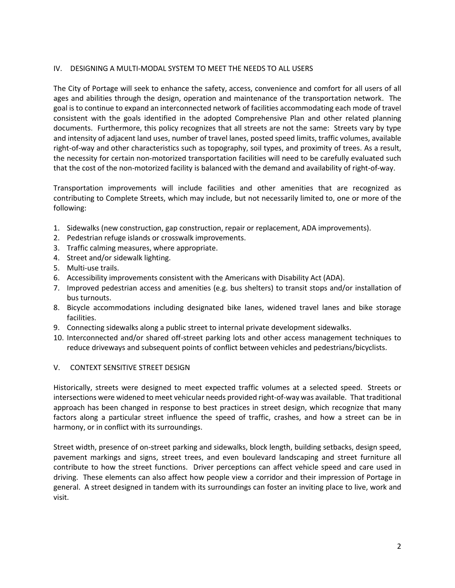### IV. DESIGNING A MULTI-MODAL SYSTEM TO MEET THE NEEDS TO ALL USERS

The City of Portage will seek to enhance the safety, access, convenience and comfort for all users of all ages and abilities through the design, operation and maintenance of the transportation network. The goal is to continue to expand an interconnected network of facilities accommodating each mode of travel consistent with the goals identified in the adopted Comprehensive Plan and other related planning documents. Furthermore, this policy recognizes that all streets are not the same: Streets vary by type and intensity of adjacent land uses, number of travel lanes, posted speed limits, traffic volumes, available right-of-way and other characteristics such as topography, soil types, and proximity of trees. As a result, the necessity for certain non-motorized transportation facilities will need to be carefully evaluated such that the cost of the non-motorized facility is balanced with the demand and availability of right-of-way.

Transportation improvements will include facilities and other amenities that are recognized as contributing to Complete Streets, which may include, but not necessarily limited to, one or more of the following:

- 1. Sidewalks (new construction, gap construction, repair or replacement, ADA improvements).
- 2. Pedestrian refuge islands or crosswalk improvements.
- 3. Traffic calming measures, where appropriate.
- 4. Street and/or sidewalk lighting.
- 5. Multi-use trails.
- 6. Accessibility improvements consistent with the Americans with Disability Act (ADA).
- 7. Improved pedestrian access and amenities (e.g. bus shelters) to transit stops and/or installation of bus turnouts.
- 8. Bicycle accommodations including designated bike lanes, widened travel lanes and bike storage facilities.
- 9. Connecting sidewalks along a public street to internal private development sidewalks.
- 10. Interconnected and/or shared off-street parking lots and other access management techniques to reduce driveways and subsequent points of conflict between vehicles and pedestrians/bicyclists.

#### V. CONTEXT SENSITIVE STREET DESIGN

Historically, streets were designed to meet expected traffic volumes at a selected speed. Streets or intersections were widened to meet vehicular needs provided right-of-way was available. That traditional approach has been changed in response to best practices in street design, which recognize that many factors along a particular street influence the speed of traffic, crashes, and how a street can be in harmony, or in conflict with its surroundings.

Street width, presence of on-street parking and sidewalks, block length, building setbacks, design speed, pavement markings and signs, street trees, and even boulevard landscaping and street furniture all contribute to how the street functions. Driver perceptions can affect vehicle speed and care used in driving. These elements can also affect how people view a corridor and their impression of Portage in general. A street designed in tandem with its surroundings can foster an inviting place to live, work and visit.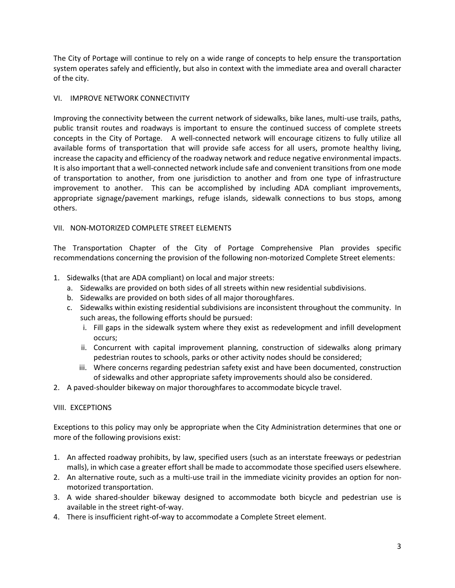The City of Portage will continue to rely on a wide range of concepts to help ensure the transportation system operates safely and efficiently, but also in context with the immediate area and overall character of the city.

# VI. IMPROVE NETWORK CONNECTIVITY

Improving the connectivity between the current network of sidewalks, bike lanes, multi-use trails, paths, public transit routes and roadways is important to ensure the continued success of complete streets concepts in the City of Portage. A well-connected network will encourage citizens to fully utilize all available forms of transportation that will provide safe access for all users, promote healthy living, increase the capacity and efficiency of the roadway network and reduce negative environmental impacts. It is also important that a well-connected network include safe and convenient transitions from one mode of transportation to another, from one jurisdiction to another and from one type of infrastructure improvement to another. This can be accomplished by including ADA compliant improvements, appropriate signage/pavement markings, refuge islands, sidewalk connections to bus stops, among others.

# VII. NON-MOTORIZED COMPLETE STREET ELEMENTS

The Transportation Chapter of the City of Portage Comprehensive Plan provides specific recommendations concerning the provision of the following non-motorized Complete Street elements:

- 1. Sidewalks (that are ADA compliant) on local and major streets:
	- a. Sidewalks are provided on both sides of all streets within new residential subdivisions.
	- b. Sidewalks are provided on both sides of all major thoroughfares.
	- c. Sidewalks within existing residential subdivisions are inconsistent throughout the community. In such areas, the following efforts should be pursued:
		- i. Fill gaps in the sidewalk system where they exist as redevelopment and infill development occurs;
		- ii. Concurrent with capital improvement planning, construction of sidewalks along primary pedestrian routes to schools, parks or other activity nodes should be considered;
		- iii. Where concerns regarding pedestrian safety exist and have been documented, construction of sidewalks and other appropriate safety improvements should also be considered.
- 2. A paved-shoulder bikeway on major thoroughfares to accommodate bicycle travel.

#### VIII. EXCEPTIONS

Exceptions to this policy may only be appropriate when the City Administration determines that one or more of the following provisions exist:

- 1. An affected roadway prohibits, by law, specified users (such as an interstate freeways or pedestrian malls), in which case a greater effort shall be made to accommodate those specified users elsewhere.
- 2. An alternative route, such as a multi-use trail in the immediate vicinity provides an option for nonmotorized transportation.
- 3. A wide shared-shoulder bikeway designed to accommodate both bicycle and pedestrian use is available in the street right-of-way.
- 4. There is insufficient right-of-way to accommodate a Complete Street element.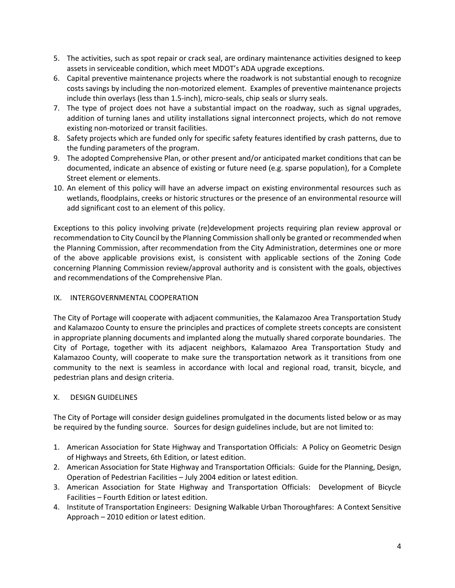- 5. The activities, such as spot repair or crack seal, are ordinary maintenance activities designed to keep assets in serviceable condition, which meet MDOT's ADA upgrade exceptions.
- 6. Capital preventive maintenance projects where the roadwork is not substantial enough to recognize costs savings by including the non-motorized element. Examples of preventive maintenance projects include thin overlays (less than 1.5-inch), micro-seals, chip seals or slurry seals.
- 7. The type of project does not have a substantial impact on the roadway, such as signal upgrades, addition of turning lanes and utility installations signal interconnect projects, which do not remove existing non-motorized or transit facilities.
- 8. Safety projects which are funded only for specific safety features identified by crash patterns, due to the funding parameters of the program.
- 9. The adopted Comprehensive Plan, or other present and/or anticipated market conditions that can be documented, indicate an absence of existing or future need (e.g. sparse population), for a Complete Street element or elements.
- 10. An element of this policy will have an adverse impact on existing environmental resources such as wetlands, floodplains, creeks or historic structures or the presence of an environmental resource will add significant cost to an element of this policy.

Exceptions to this policy involving private (re)development projects requiring plan review approval or recommendation to City Council by the Planning Commission shall only be granted or recommended when the Planning Commission, after recommendation from the City Administration, determines one or more of the above applicable provisions exist, is consistent with applicable sections of the Zoning Code concerning Planning Commission review/approval authority and is consistent with the goals, objectives and recommendations of the Comprehensive Plan.

# IX. INTERGOVERNMENTAL COOPERATION

The City of Portage will cooperate with adjacent communities, the Kalamazoo Area Transportation Study and Kalamazoo County to ensure the principles and practices of complete streets concepts are consistent in appropriate planning documents and implanted along the mutually shared corporate boundaries. The City of Portage, together with its adjacent neighbors, Kalamazoo Area Transportation Study and Kalamazoo County, will cooperate to make sure the transportation network as it transitions from one community to the next is seamless in accordance with local and regional road, transit, bicycle, and pedestrian plans and design criteria.

# X. DESIGN GUIDELINES

The City of Portage will consider design guidelines promulgated in the documents listed below or as may be required by the funding source. Sources for design guidelines include, but are not limited to:

- 1. American Association for State Highway and Transportation Officials: A Policy on Geometric Design of Highways and Streets, 6th Edition, or latest edition.
- 2. American Association for State Highway and Transportation Officials: Guide for the Planning, Design, Operation of Pedestrian Facilities – July 2004 edition or latest edition.
- 3. American Association for State Highway and Transportation Officials: Development of Bicycle Facilities – Fourth Edition or latest edition.
- 4. Institute of Transportation Engineers: Designing Walkable Urban Thoroughfares: A Context Sensitive Approach – 2010 edition or latest edition.